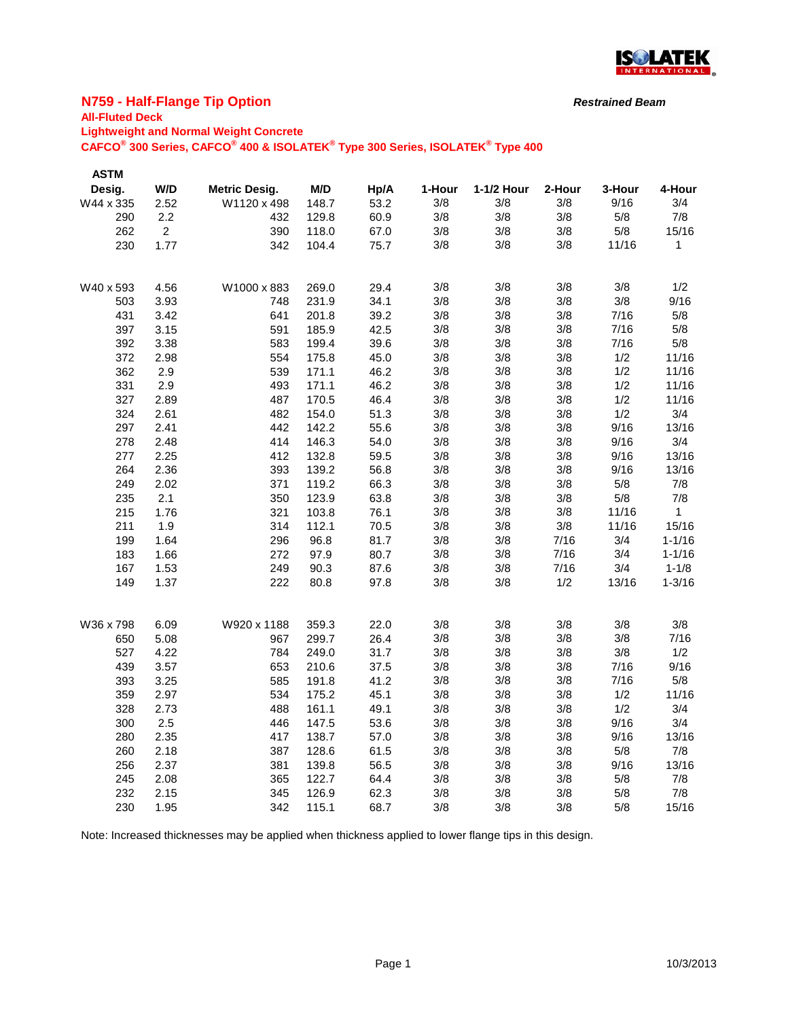

## **N759 - Half-Flange Tip Option**

## **All-Fluted Deck**

**Lightweight and Normal Weight Concrete**

**CAFCO® 300 Series, CAFCO® 400 & ISOLATEK® Type 300 Series, ISOLATEK® Type 400**

| <b>ASTM</b> |                |                      |       |      |        |            |        |        |              |
|-------------|----------------|----------------------|-------|------|--------|------------|--------|--------|--------------|
| Desig.      | W/D            | <b>Metric Desig.</b> | M/D   | Hp/A | 1-Hour | 1-1/2 Hour | 2-Hour | 3-Hour | 4-Hour       |
| W44 x 335   | 2.52           | W1120 x 498          | 148.7 | 53.2 | 3/8    | 3/8        | 3/8    | 9/16   | 3/4          |
| 290         | 2.2            | 432                  | 129.8 | 60.9 | 3/8    | 3/8        | 3/8    | 5/8    | 7/8          |
| 262         | $\overline{2}$ | 390                  | 118.0 | 67.0 | 3/8    | 3/8        | 3/8    | $5/8$  | 15/16        |
| 230         | 1.77           | 342                  | 104.4 | 75.7 | 3/8    | 3/8        | 3/8    | 11/16  | 1            |
|             |                |                      |       |      |        |            |        |        |              |
|             |                |                      |       |      |        |            |        |        |              |
| W40 x 593   | 4.56           | W1000 x 883          | 269.0 | 29.4 | 3/8    | 3/8        | 3/8    | 3/8    | 1/2          |
| 503         | 3.93           | 748                  | 231.9 | 34.1 | 3/8    | 3/8        | 3/8    | 3/8    | 9/16         |
| 431         | 3.42           | 641                  | 201.8 | 39.2 | 3/8    | 3/8        | 3/8    | 7/16   | 5/8          |
| 397         | 3.15           | 591                  | 185.9 | 42.5 | 3/8    | 3/8        | 3/8    | 7/16   | 5/8          |
| 392         | 3.38           | 583                  | 199.4 | 39.6 | 3/8    | 3/8        | 3/8    | 7/16   | 5/8          |
| 372         | 2.98           | 554                  | 175.8 | 45.0 | 3/8    | 3/8        | 3/8    | 1/2    | 11/16        |
| 362         | 2.9            | 539                  | 171.1 | 46.2 | 3/8    | 3/8        | 3/8    | 1/2    | 11/16        |
| 331         | 2.9            | 493                  | 171.1 | 46.2 | 3/8    | 3/8        | 3/8    | 1/2    | 11/16        |
| 327         | 2.89           | 487                  | 170.5 | 46.4 | 3/8    | 3/8        | 3/8    | 1/2    | 11/16        |
| 324         | 2.61           | 482                  | 154.0 | 51.3 | 3/8    | 3/8        | 3/8    | 1/2    | 3/4          |
| 297         | 2.41           | 442                  | 142.2 | 55.6 | 3/8    | 3/8        | 3/8    | 9/16   | 13/16        |
| 278         | 2.48           | 414                  | 146.3 | 54.0 | 3/8    | 3/8        | 3/8    | 9/16   | 3/4          |
| 277         | 2.25           | 412                  | 132.8 | 59.5 | 3/8    | 3/8        | 3/8    | 9/16   | 13/16        |
| 264         | 2.36           | 393                  | 139.2 | 56.8 | 3/8    | 3/8        | 3/8    | 9/16   | 13/16        |
| 249         | 2.02           | 371                  | 119.2 | 66.3 | 3/8    | 3/8        | 3/8    | 5/8    | 7/8          |
| 235         | 2.1            | 350                  | 123.9 | 63.8 | 3/8    | 3/8        | 3/8    | 5/8    | 7/8          |
| 215         | 1.76           | 321                  | 103.8 | 76.1 | 3/8    | 3/8        | 3/8    | 11/16  | $\mathbf{1}$ |
| 211         | 1.9            | 314                  | 112.1 | 70.5 | 3/8    | 3/8        | 3/8    | 11/16  | 15/16        |
| 199         | 1.64           | 296                  | 96.8  | 81.7 | 3/8    | 3/8        | 7/16   | 3/4    | $1 - 1/16$   |
| 183         | 1.66           | 272                  | 97.9  | 80.7 | 3/8    | 3/8        | 7/16   | 3/4    | $1 - 1/16$   |
| 167         | 1.53           | 249                  | 90.3  | 87.6 | 3/8    | 3/8        | 7/16   | 3/4    | $1 - 1/8$    |
| 149         | 1.37           | 222                  | 80.8  | 97.8 | 3/8    | 3/8        | 1/2    | 13/16  | $1 - 3/16$   |
|             |                |                      |       |      |        |            |        |        |              |
| W36 x 798   | 6.09           | W920 x 1188          | 359.3 | 22.0 | 3/8    | 3/8        | 3/8    | 3/8    | 3/8          |
| 650         | 5.08           | 967                  | 299.7 | 26.4 | 3/8    | 3/8        | 3/8    | 3/8    | 7/16         |
| 527         | 4.22           | 784                  | 249.0 | 31.7 | 3/8    | 3/8        | 3/8    | 3/8    | 1/2          |
| 439         | 3.57           | 653                  | 210.6 | 37.5 | 3/8    | 3/8        | 3/8    | 7/16   | 9/16         |
| 393         | 3.25           | 585                  | 191.8 | 41.2 | 3/8    | 3/8        | 3/8    | 7/16   | 5/8          |
| 359         | 2.97           | 534                  | 175.2 | 45.1 | 3/8    | 3/8        | 3/8    | 1/2    | 11/16        |
| 328         | 2.73           | 488                  | 161.1 | 49.1 | 3/8    | 3/8        | 3/8    | 1/2    | 3/4          |
| 300         | 2.5            | 446                  | 147.5 | 53.6 | 3/8    | 3/8        | 3/8    | 9/16   | 3/4          |
|             |                |                      |       |      |        |            |        |        |              |
| 280         | 2.35           | 417                  | 138.7 | 57.0 | 3/8    | 3/8        | 3/8    | 9/16   | 13/16        |
| 260         | 2.18           | 387                  | 128.6 | 61.5 | 3/8    | 3/8        | 3/8    | 5/8    | 7/8          |
| 256         | 2.37           | 381                  | 139.8 | 56.5 | 3/8    | 3/8        | 3/8    | 9/16   | 13/16        |
| 245         | 2.08           | 365                  | 122.7 | 64.4 | 3/8    | 3/8        | 3/8    | 5/8    | 7/8          |
| 232         | 2.15           | 345                  | 126.9 | 62.3 | 3/8    | 3/8        | 3/8    | 5/8    | 7/8          |
| 230         | 1.95           | 342                  | 115.1 | 68.7 | 3/8    | 3/8        | 3/8    | 5/8    | 15/16        |

Note: Increased thicknesses may be applied when thickness applied to lower flange tips in this design.

*Restrained Beam*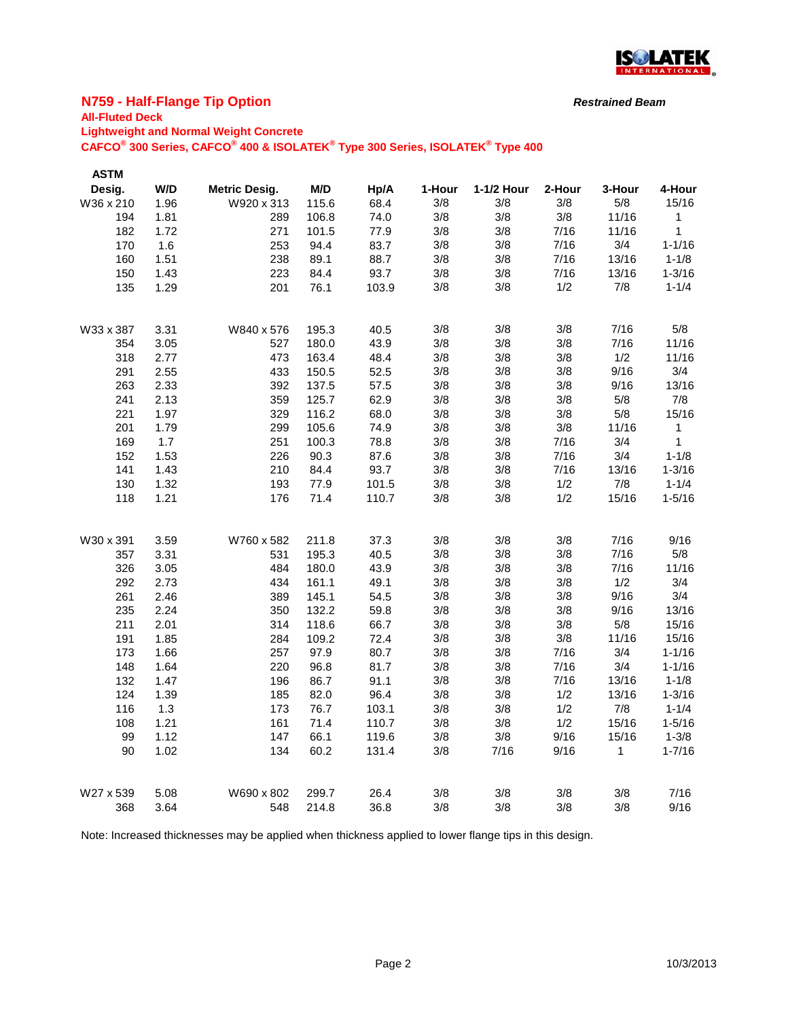

## **N759 - Half-Flange Tip Option**

# **All-Fluted Deck**

**Lightweight and Normal Weight Concrete**

**CAFCO® 300 Series, CAFCO® 400 & ISOLATEK® Type 300 Series, ISOLATEK® Type 400**

| <b>ASTM</b><br>Desig. | W/D  | <b>Metric Desig.</b> | M/D   | Hp/A  | 1-Hour | 1-1/2 Hour | 2-Hour | 3-Hour | 4-Hour       |
|-----------------------|------|----------------------|-------|-------|--------|------------|--------|--------|--------------|
| W36 x 210             | 1.96 | W920 x 313           | 115.6 | 68.4  | 3/8    | 3/8        | 3/8    | 5/8    | 15/16        |
| 194                   | 1.81 | 289                  | 106.8 | 74.0  | 3/8    | 3/8        | 3/8    | 11/16  | 1            |
| 182                   | 1.72 | 271                  | 101.5 | 77.9  | 3/8    | 3/8        | 7/16   | 11/16  | 1            |
| 170                   | 1.6  | 253                  | 94.4  | 83.7  | 3/8    | 3/8        | 7/16   | 3/4    | $1 - 1/16$   |
| 160                   | 1.51 | 238                  | 89.1  | 88.7  | 3/8    | 3/8        | 7/16   | 13/16  | $1 - 1/8$    |
| 150                   | 1.43 | 223                  | 84.4  | 93.7  | 3/8    | 3/8        | 7/16   | 13/16  | $1 - 3/16$   |
| 135                   | 1.29 | 201                  | 76.1  | 103.9 | 3/8    | 3/8        | 1/2    | 7/8    | $1 - 1/4$    |
|                       |      |                      |       |       |        |            |        |        |              |
| W33 x 387             | 3.31 | W840 x 576           | 195.3 | 40.5  | 3/8    | 3/8        | 3/8    | 7/16   | 5/8          |
| 354                   | 3.05 | 527                  | 180.0 | 43.9  | 3/8    | 3/8        | 3/8    | 7/16   | 11/16        |
| 318                   | 2.77 | 473                  | 163.4 | 48.4  | 3/8    | 3/8        | 3/8    | 1/2    | 11/16        |
| 291                   | 2.55 | 433                  | 150.5 | 52.5  | 3/8    | 3/8        | 3/8    | 9/16   | 3/4          |
| 263                   | 2.33 | 392                  | 137.5 | 57.5  | 3/8    | 3/8        | 3/8    | 9/16   | 13/16        |
| 241                   | 2.13 | 359                  | 125.7 | 62.9  | 3/8    | 3/8        | 3/8    | 5/8    | 7/8          |
| 221                   | 1.97 | 329                  | 116.2 | 68.0  | 3/8    | 3/8        | 3/8    | 5/8    | 15/16        |
| 201                   | 1.79 | 299                  | 105.6 | 74.9  | 3/8    | 3/8        | 3/8    | 11/16  | $\mathbf{1}$ |
| 169                   | 1.7  | 251                  | 100.3 | 78.8  | 3/8    | 3/8        | 7/16   | 3/4    | $\mathbf{1}$ |
| 152                   | 1.53 | 226                  | 90.3  | 87.6  | 3/8    | 3/8        | 7/16   | 3/4    | $1 - 1/8$    |
| 141                   | 1.43 | 210                  | 84.4  | 93.7  | 3/8    | 3/8        | 7/16   | 13/16  | $1 - 3/16$   |
| 130                   | 1.32 | 193                  | 77.9  | 101.5 | 3/8    | 3/8        | 1/2    | 7/8    | $1 - 1/4$    |
| 118                   | 1.21 | 176                  | 71.4  | 110.7 | 3/8    | 3/8        | 1/2    | 15/16  | $1 - 5/16$   |
| W30 x 391             | 3.59 | W760 x 582           | 211.8 | 37.3  | 3/8    | 3/8        | 3/8    | 7/16   | 9/16         |
| 357                   | 3.31 | 531                  | 195.3 | 40.5  | 3/8    | 3/8        | 3/8    | 7/16   | 5/8          |
| 326                   | 3.05 | 484                  | 180.0 | 43.9  | 3/8    | 3/8        | 3/8    | 7/16   | 11/16        |
| 292                   | 2.73 | 434                  | 161.1 | 49.1  | 3/8    | 3/8        | 3/8    | 1/2    | 3/4          |
| 261                   | 2.46 | 389                  | 145.1 | 54.5  | 3/8    | 3/8        | 3/8    | 9/16   | 3/4          |
| 235                   | 2.24 | 350                  | 132.2 | 59.8  | 3/8    | 3/8        | 3/8    | 9/16   | 13/16        |
| 211                   | 2.01 | 314                  | 118.6 | 66.7  | 3/8    | 3/8        | 3/8    | 5/8    | 15/16        |
| 191                   | 1.85 | 284                  | 109.2 | 72.4  | 3/8    | 3/8        | 3/8    | 11/16  | 15/16        |
| 173                   | 1.66 | 257                  | 97.9  | 80.7  | 3/8    | 3/8        | 7/16   | 3/4    | $1 - 1/16$   |
| 148                   | 1.64 | 220                  | 96.8  | 81.7  | 3/8    | 3/8        | 7/16   | 3/4    | $1 - 1/16$   |
| 132                   | 1.47 | 196                  | 86.7  | 91.1  | 3/8    | 3/8        | 7/16   | 13/16  | $1 - 1/8$    |
| 124                   | 1.39 | 185                  | 82.0  | 96.4  | 3/8    | 3/8        | 1/2    | 13/16  | $1 - 3/16$   |
| 116                   | 1.3  | 173                  | 76.7  | 103.1 | 3/8    | 3/8        | 1/2    | 7/8    | $1 - 1/4$    |
| 108                   | 1.21 | 161                  | 71.4  | 110.7 | 3/8    | 3/8        | 1/2    | 15/16  | $1 - 5/16$   |
| 99                    | 1.12 | 147                  | 66.1  | 119.6 | 3/8    | 3/8        | 9/16   | 15/16  | $1 - 3/8$    |
| 90                    | 1.02 | 134                  | 60.2  | 131.4 | 3/8    | 7/16       | 9/16   | 1      | $1 - 7/16$   |
| W27 x 539             | 5.08 | W690 x 802           | 299.7 | 26.4  | 3/8    | 3/8        | 3/8    | 3/8    | 7/16         |
| 368                   | 3.64 | 548                  | 214.8 | 36.8  | 3/8    | 3/8        | 3/8    | 3/8    | 9/16         |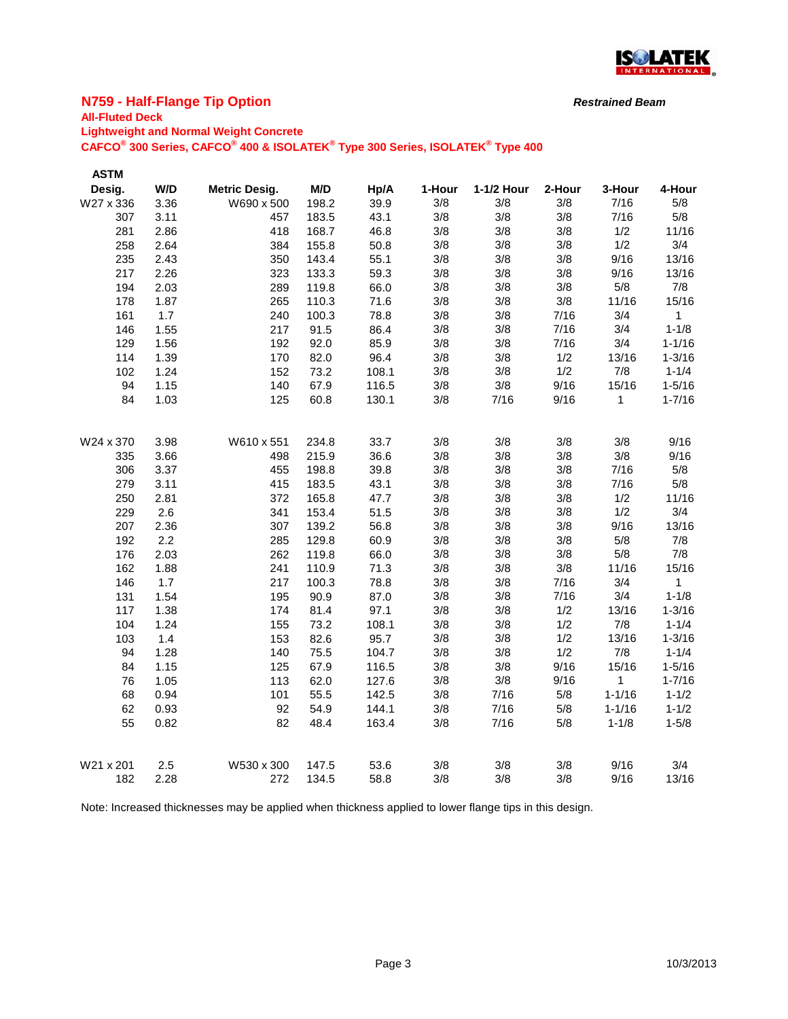

## **N759 - Half-Flange Tip Option**

#### **All-Fluted Deck Lightweight and Normal Weight Concrete**

**CAFCO® 300 Series, CAFCO® 400 & ISOLATEK® Type 300 Series, ISOLATEK® Type 400**

| <b>ASTM</b> |      |                      |       |       |        |            |        |              |              |
|-------------|------|----------------------|-------|-------|--------|------------|--------|--------------|--------------|
| Desig.      | W/D  | <b>Metric Desig.</b> | M/D   | Hp/A  | 1-Hour | 1-1/2 Hour | 2-Hour | 3-Hour       | 4-Hour       |
| W27 x 336   | 3.36 | W690 x 500           | 198.2 | 39.9  | 3/8    | 3/8        | 3/8    | 7/16         | 5/8          |
| 307         | 3.11 | 457                  | 183.5 | 43.1  | 3/8    | 3/8        | 3/8    | 7/16         | 5/8          |
| 281         | 2.86 | 418                  | 168.7 | 46.8  | 3/8    | 3/8        | 3/8    | 1/2          | 11/16        |
| 258         | 2.64 | 384                  | 155.8 | 50.8  | 3/8    | 3/8        | 3/8    | 1/2          | 3/4          |
| 235         | 2.43 | 350                  | 143.4 | 55.1  | 3/8    | 3/8        | 3/8    | 9/16         | 13/16        |
| 217         | 2.26 | 323                  | 133.3 | 59.3  | 3/8    | 3/8        | 3/8    | 9/16         | 13/16        |
| 194         | 2.03 | 289                  | 119.8 | 66.0  | 3/8    | 3/8        | 3/8    | 5/8          | 7/8          |
| 178         | 1.87 | 265                  | 110.3 | 71.6  | 3/8    | 3/8        | 3/8    | 11/16        | 15/16        |
| 161         | 1.7  | 240                  | 100.3 | 78.8  | 3/8    | 3/8        | 7/16   | 3/4          | $\mathbf{1}$ |
| 146         | 1.55 | 217                  | 91.5  | 86.4  | 3/8    | 3/8        | 7/16   | 3/4          | $1 - 1/8$    |
| 129         | 1.56 | 192                  | 92.0  | 85.9  | 3/8    | 3/8        | 7/16   | 3/4          | $1 - 1/16$   |
| 114         | 1.39 | 170                  | 82.0  | 96.4  | 3/8    | 3/8        | 1/2    | 13/16        | $1 - 3/16$   |
| 102         | 1.24 | 152                  | 73.2  | 108.1 | 3/8    | 3/8        | 1/2    | 7/8          | $1 - 1/4$    |
| 94          | 1.15 | 140                  | 67.9  | 116.5 | 3/8    | 3/8        | 9/16   | 15/16        | $1 - 5/16$   |
| 84          | 1.03 | 125                  | 60.8  | 130.1 | 3/8    | 7/16       | 9/16   | 1            | $1 - 7/16$   |
|             |      |                      |       |       |        |            |        |              |              |
| W24 x 370   | 3.98 | W610 x 551           | 234.8 | 33.7  | 3/8    | 3/8        | 3/8    | 3/8          | 9/16         |
| 335         | 3.66 | 498                  | 215.9 | 36.6  | 3/8    | 3/8        | 3/8    | 3/8          | 9/16         |
| 306         | 3.37 | 455                  | 198.8 | 39.8  | 3/8    | 3/8        | 3/8    | 7/16         | 5/8          |
| 279         | 3.11 | 415                  | 183.5 | 43.1  | 3/8    | 3/8        | 3/8    | 7/16         | 5/8          |
| 250         | 2.81 | 372                  | 165.8 | 47.7  | 3/8    | 3/8        | 3/8    | 1/2          | 11/16        |
| 229         | 2.6  | 341                  | 153.4 | 51.5  | 3/8    | 3/8        | 3/8    | 1/2          | 3/4          |
| 207         | 2.36 | 307                  | 139.2 | 56.8  | 3/8    | 3/8        | 3/8    | 9/16         | 13/16        |
| 192         | 2.2  | 285                  | 129.8 | 60.9  | 3/8    | 3/8        | 3/8    | 5/8          | 7/8          |
| 176         | 2.03 | 262                  | 119.8 | 66.0  | 3/8    | 3/8        | 3/8    | 5/8          | 7/8          |
| 162         | 1.88 | 241                  | 110.9 | 71.3  | 3/8    | 3/8        | 3/8    | 11/16        | 15/16        |
| 146         | 1.7  | 217                  | 100.3 | 78.8  | 3/8    | 3/8        | 7/16   | 3/4          | $\mathbf{1}$ |
| 131         | 1.54 | 195                  | 90.9  | 87.0  | 3/8    | 3/8        | 7/16   | 3/4          | $1 - 1/8$    |
| 117         | 1.38 | 174                  | 81.4  | 97.1  | 3/8    | 3/8        | 1/2    | 13/16        | $1 - 3/16$   |
| 104         | 1.24 | 155                  | 73.2  | 108.1 | 3/8    | 3/8        | 1/2    | 7/8          | $1 - 1/4$    |
| 103         | 1.4  | 153                  | 82.6  | 95.7  | 3/8    | 3/8        | 1/2    | 13/16        | $1 - 3/16$   |
| 94          | 1.28 | 140                  | 75.5  | 104.7 | 3/8    | 3/8        | 1/2    | 7/8          | $1 - 1/4$    |
| 84          | 1.15 | 125                  | 67.9  | 116.5 | 3/8    | 3/8        | 9/16   | 15/16        | $1 - 5/16$   |
| 76          | 1.05 | 113                  | 62.0  | 127.6 | 3/8    | 3/8        | 9/16   | $\mathbf{1}$ | $1 - 7/16$   |
| 68          | 0.94 | 101                  | 55.5  | 142.5 | 3/8    | 7/16       | 5/8    | $1 - 1/16$   | $1 - 1/2$    |
| 62          | 0.93 | 92                   | 54.9  | 144.1 | 3/8    | 7/16       | 5/8    | $1 - 1/16$   | $1 - 1/2$    |
| 55          | 0.82 | 82                   | 48.4  | 163.4 | 3/8    | 7/16       | 5/8    | $1 - 1/8$    | $1 - 5/8$    |
|             |      |                      |       |       |        |            |        |              |              |
| W21 x 201   | 2.5  | W530 x 300           | 147.5 | 53.6  | 3/8    | 3/8        | 3/8    | 9/16         | 3/4          |
| 182         | 2.28 | 272                  | 134.5 | 58.8  | 3/8    | 3/8        | 3/8    | 9/16         | 13/16        |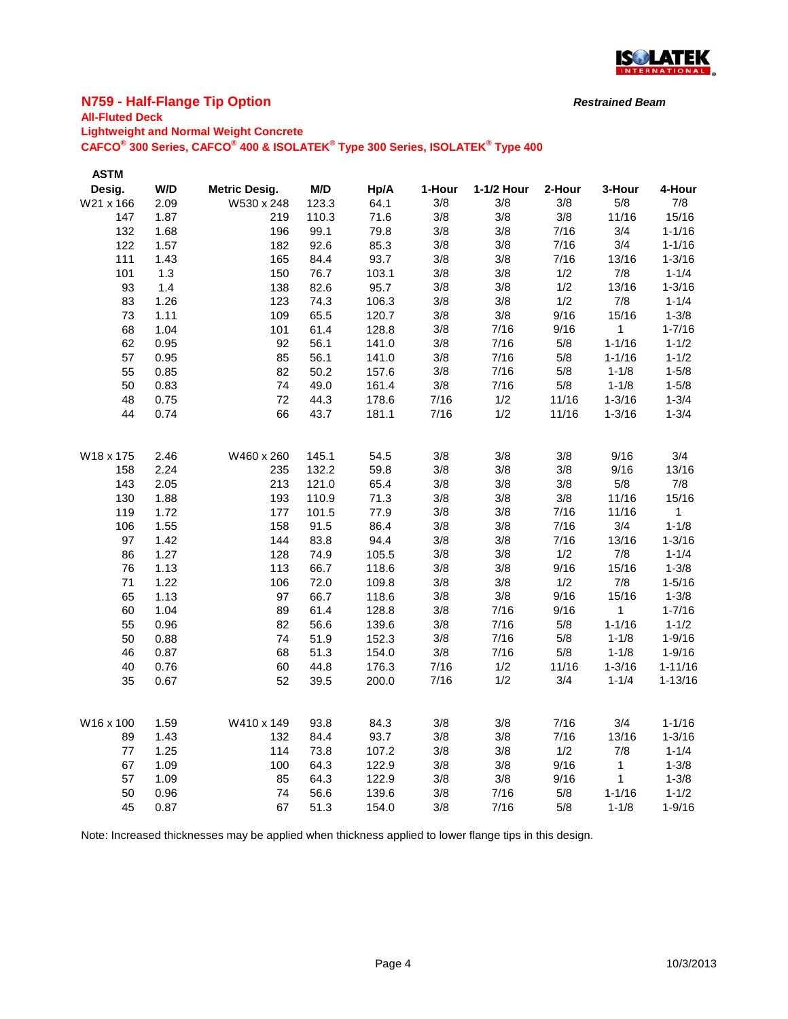

## **N759 - Half-Flange Tip Option**

#### **All-Fluted Deck Lightweight and Normal Weight Concrete**

**CAFCO® 300 Series, CAFCO® 400 & ISOLATEK® Type 300 Series, ISOLATEK® Type 400**

| <b>ASTM</b> |      |                      |       |       |        |            |        |              |             |
|-------------|------|----------------------|-------|-------|--------|------------|--------|--------------|-------------|
| Desig.      | W/D  | <b>Metric Desig.</b> | M/D   | Hp/A  | 1-Hour | 1-1/2 Hour | 2-Hour | 3-Hour       | 4-Hour      |
| W21 x 166   | 2.09 | W530 x 248           | 123.3 | 64.1  | 3/8    | 3/8        | 3/8    | 5/8          | 7/8         |
| 147         | 1.87 | 219                  | 110.3 | 71.6  | 3/8    | 3/8        | 3/8    | 11/16        | 15/16       |
| 132         | 1.68 | 196                  | 99.1  | 79.8  | 3/8    | 3/8        | 7/16   | 3/4          | $1 - 1/16$  |
| 122         | 1.57 | 182                  | 92.6  | 85.3  | 3/8    | 3/8        | 7/16   | 3/4          | $1 - 1/16$  |
| 111         | 1.43 | 165                  | 84.4  | 93.7  | 3/8    | 3/8        | 7/16   | 13/16        | $1 - 3/16$  |
| 101         | 1.3  | 150                  | 76.7  | 103.1 | 3/8    | 3/8        | 1/2    | 7/8          | $1 - 1/4$   |
| 93          | 1.4  | 138                  | 82.6  | 95.7  | 3/8    | 3/8        | 1/2    | 13/16        | $1 - 3/16$  |
| 83          | 1.26 | 123                  | 74.3  | 106.3 | 3/8    | 3/8        | 1/2    | 7/8          | $1 - 1/4$   |
| 73          | 1.11 | 109                  | 65.5  | 120.7 | 3/8    | 3/8        | 9/16   | 15/16        | $1 - 3/8$   |
| 68          | 1.04 | 101                  | 61.4  | 128.8 | 3/8    | 7/16       | 9/16   | 1            | $1 - 7/16$  |
| 62          | 0.95 | 92                   | 56.1  | 141.0 | 3/8    | 7/16       | 5/8    | $1 - 1/16$   | $1 - 1/2$   |
| 57          | 0.95 | 85                   | 56.1  | 141.0 | 3/8    | 7/16       | 5/8    | $1 - 1/16$   | $1 - 1/2$   |
| 55          | 0.85 | 82                   | 50.2  | 157.6 | 3/8    | 7/16       | 5/8    | $1 - 1/8$    | $1 - 5/8$   |
| 50          | 0.83 | 74                   | 49.0  | 161.4 | 3/8    | 7/16       | 5/8    | $1 - 1/8$    | $1 - 5/8$   |
| 48          | 0.75 | 72                   | 44.3  | 178.6 | 7/16   | 1/2        | 11/16  | $1 - 3/16$   | $1 - 3/4$   |
| 44          | 0.74 | 66                   | 43.7  | 181.1 | 7/16   | 1/2        | 11/16  | $1 - 3/16$   | $1 - 3/4$   |
| W18 x 175   | 2.46 | W460 x 260           | 145.1 | 54.5  | 3/8    | 3/8        | 3/8    | 9/16         | 3/4         |
| 158         | 2.24 | 235                  | 132.2 | 59.8  | 3/8    | 3/8        | 3/8    | 9/16         | 13/16       |
| 143         | 2.05 | 213                  | 121.0 | 65.4  | 3/8    | 3/8        | 3/8    | 5/8          | 7/8         |
| 130         | 1.88 | 193                  | 110.9 | 71.3  | 3/8    | 3/8        | 3/8    | 11/16        | 15/16       |
| 119         | 1.72 | 177                  | 101.5 | 77.9  | 3/8    | 3/8        | 7/16   | 11/16        | 1           |
| 106         | 1.55 | 158                  | 91.5  | 86.4  | 3/8    | 3/8        | 7/16   | 3/4          | $1 - 1/8$   |
| 97          | 1.42 | 144                  | 83.8  | 94.4  | 3/8    | 3/8        | 7/16   | 13/16        | $1 - 3/16$  |
| 86          | 1.27 | 128                  | 74.9  | 105.5 | 3/8    | 3/8        | 1/2    | 7/8          | $1 - 1/4$   |
| 76          | 1.13 | 113                  | 66.7  | 118.6 | 3/8    | 3/8        | 9/16   | 15/16        | $1 - 3/8$   |
| 71          | 1.22 | 106                  | 72.0  | 109.8 | 3/8    | 3/8        | 1/2    | 7/8          | $1 - 5/16$  |
| 65          | 1.13 | 97                   | 66.7  | 118.6 | 3/8    | 3/8        | 9/16   | 15/16        | $1 - 3/8$   |
| 60          | 1.04 | 89                   | 61.4  | 128.8 | 3/8    | 7/16       | 9/16   | 1            | $1 - 7/16$  |
| 55          | 0.96 | 82                   | 56.6  | 139.6 | 3/8    | 7/16       | 5/8    | $1 - 1/16$   | $1 - 1/2$   |
| 50          | 0.88 | 74                   | 51.9  | 152.3 | 3/8    | 7/16       | 5/8    | $1 - 1/8$    | $1 - 9/16$  |
| 46          | 0.87 | 68                   | 51.3  | 154.0 | 3/8    | 7/16       | 5/8    | $1 - 1/8$    | $1 - 9/16$  |
| 40          | 0.76 | 60                   | 44.8  | 176.3 | 7/16   | 1/2        | 11/16  | $1 - 3/16$   | $1 - 11/16$ |
| 35          | 0.67 | 52                   | 39.5  | 200.0 | 7/16   | 1/2        | 3/4    | $1 - 1/4$    | $1 - 13/16$ |
| W16 x 100   | 1.59 | W410 x 149           | 93.8  | 84.3  | 3/8    | 3/8        | 7/16   | 3/4          | $1 - 1/16$  |
| 89          | 1.43 | 132                  | 84.4  | 93.7  | 3/8    | 3/8        | 7/16   | 13/16        | $1 - 3/16$  |
| 77          | 1.25 | 114                  | 73.8  | 107.2 | 3/8    | 3/8        | 1/2    | 7/8          | $1 - 1/4$   |
| 67          | 1.09 | 100                  | 64.3  | 122.9 | 3/8    | 3/8        | 9/16   | 1            | $1 - 3/8$   |
| 57          | 1.09 | 85                   | 64.3  | 122.9 | 3/8    | 3/8        | 9/16   | $\mathbf{1}$ | $1 - 3/8$   |
| 50          | 0.96 | 74                   | 56.6  | 139.6 | 3/8    | 7/16       | 5/8    | $1 - 1/16$   | $1 - 1/2$   |
| 45          | 0.87 | 67                   | 51.3  | 154.0 | 3/8    | 7/16       | 5/8    | $1 - 1/8$    | $1 - 9/16$  |
|             |      |                      |       |       |        |            |        |              |             |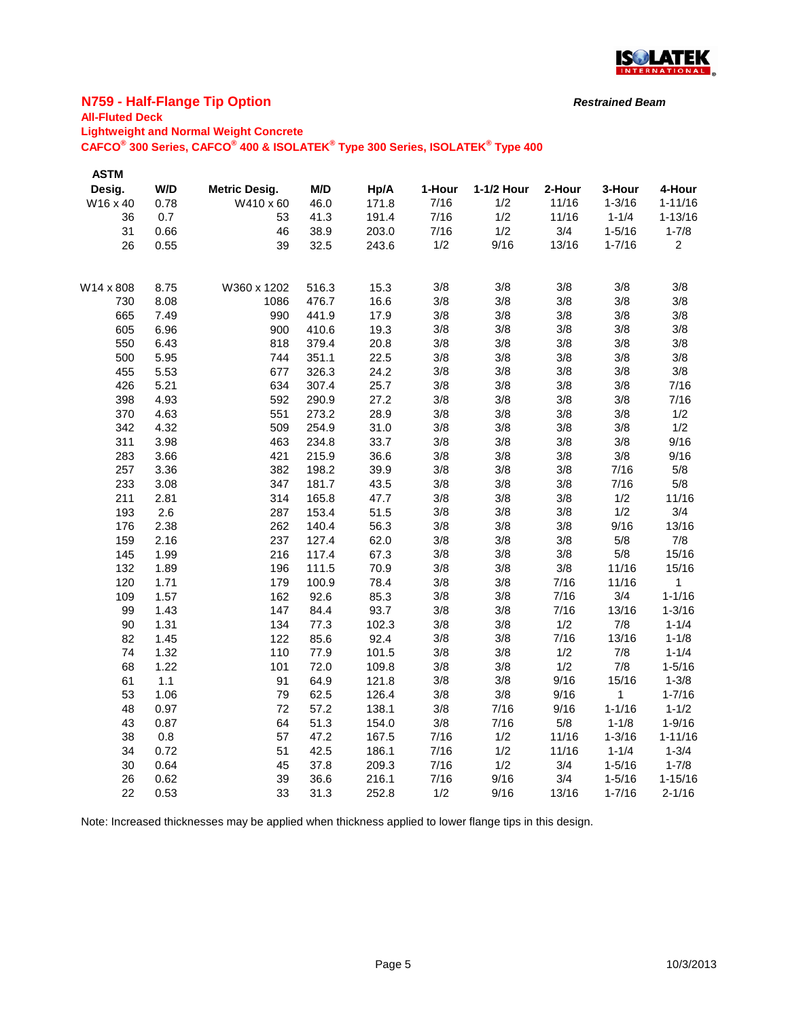

## **N759 - Half-Flange Tip Option**

## **All-Fluted Deck**

**Lightweight and Normal Weight Concrete**

**CAFCO® 300 Series, CAFCO® 400 & ISOLATEK® Type 300 Series, ISOLATEK® Type 400**

| <b>ASTM</b> |      |                      |       |       |        |            |        |            |                |
|-------------|------|----------------------|-------|-------|--------|------------|--------|------------|----------------|
| Desig.      | W/D  | <b>Metric Desig.</b> | M/D   | Hp/A  | 1-Hour | 1-1/2 Hour | 2-Hour | 3-Hour     | 4-Hour         |
| W16 x 40    | 0.78 | W410 x 60            | 46.0  | 171.8 | 7/16   | 1/2        | 11/16  | $1 - 3/16$ | $1 - 11/16$    |
| 36          | 0.7  | 53                   | 41.3  | 191.4 | 7/16   | 1/2        | 11/16  | $1 - 1/4$  | $1 - 13/16$    |
| 31          | 0.66 | 46                   | 38.9  | 203.0 | 7/16   | 1/2        | 3/4    | $1 - 5/16$ | $1 - 7/8$      |
| 26          | 0.55 | 39                   | 32.5  | 243.6 | 1/2    | 9/16       | 13/16  | $1 - 7/16$ | $\overline{2}$ |
| W14 x 808   | 8.75 | W360 x 1202          | 516.3 | 15.3  | 3/8    | 3/8        | 3/8    | 3/8        | 3/8            |
| 730         | 8.08 | 1086                 | 476.7 | 16.6  | 3/8    | 3/8        | 3/8    | 3/8        | 3/8            |
| 665         | 7.49 | 990                  | 441.9 | 17.9  | 3/8    | 3/8        | 3/8    | 3/8        | 3/8            |
| 605         | 6.96 | 900                  | 410.6 | 19.3  | 3/8    | 3/8        | 3/8    | 3/8        | 3/8            |
| 550         | 6.43 | 818                  | 379.4 | 20.8  | 3/8    | 3/8        | 3/8    | 3/8        | 3/8            |
| 500         | 5.95 | 744                  | 351.1 | 22.5  | 3/8    | 3/8        | 3/8    | 3/8        | 3/8            |
| 455         | 5.53 | 677                  | 326.3 | 24.2  | 3/8    | 3/8        | 3/8    | 3/8        | 3/8            |
| 426         | 5.21 | 634                  | 307.4 | 25.7  | 3/8    | 3/8        | 3/8    | 3/8        | 7/16           |
| 398         | 4.93 | 592                  | 290.9 | 27.2  | 3/8    | 3/8        | 3/8    | 3/8        | 7/16           |
| 370         | 4.63 | 551                  | 273.2 | 28.9  | 3/8    | 3/8        | 3/8    | 3/8        | 1/2            |
| 342         | 4.32 | 509                  | 254.9 | 31.0  | 3/8    | 3/8        | 3/8    | 3/8        | 1/2            |
| 311         | 3.98 | 463                  | 234.8 | 33.7  | 3/8    | 3/8        | 3/8    | 3/8        | 9/16           |
| 283         | 3.66 | 421                  | 215.9 | 36.6  | 3/8    | 3/8        | 3/8    | 3/8        | 9/16           |
| 257         | 3.36 | 382                  | 198.2 | 39.9  | 3/8    | 3/8        | 3/8    | 7/16       | 5/8            |
| 233         | 3.08 | 347                  | 181.7 | 43.5  | 3/8    | 3/8        | 3/8    | 7/16       | 5/8            |
| 211         | 2.81 | 314                  | 165.8 | 47.7  | 3/8    | 3/8        | 3/8    | 1/2        | 11/16          |
| 193         | 2.6  | 287                  | 153.4 | 51.5  | 3/8    | 3/8        | 3/8    | 1/2        | 3/4            |
| 176         | 2.38 | 262                  | 140.4 | 56.3  | 3/8    | 3/8        | 3/8    | 9/16       | 13/16          |
| 159         | 2.16 | 237                  | 127.4 | 62.0  | 3/8    | 3/8        | 3/8    | 5/8        | 7/8            |
| 145         | 1.99 | 216                  | 117.4 | 67.3  | 3/8    | 3/8        | 3/8    | 5/8        | 15/16          |
| 132         | 1.89 | 196                  | 111.5 | 70.9  | 3/8    | 3/8        | 3/8    | 11/16      | 15/16          |
| 120         | 1.71 | 179                  | 100.9 | 78.4  | 3/8    | 3/8        | 7/16   | 11/16      | $\mathbf 1$    |
| 109         | 1.57 | 162                  | 92.6  | 85.3  | 3/8    | 3/8        | 7/16   | 3/4        | $1 - 1/16$     |
| 99          | 1.43 | 147                  | 84.4  | 93.7  | 3/8    | 3/8        | 7/16   | 13/16      | $1 - 3/16$     |
| 90          | 1.31 | 134                  | 77.3  | 102.3 | 3/8    | 3/8        | 1/2    | 7/8        | $1 - 1/4$      |
| 82          | 1.45 | 122                  | 85.6  | 92.4  | 3/8    | 3/8        | 7/16   | 13/16      | $1 - 1/8$      |
| 74          | 1.32 | 110                  | 77.9  | 101.5 | 3/8    | 3/8        | 1/2    | 7/8        | $1 - 1/4$      |
| 68          | 1.22 | 101                  | 72.0  | 109.8 | 3/8    | 3/8        | 1/2    | 7/8        | $1 - 5/16$     |
| 61          | 1.1  | 91                   | 64.9  | 121.8 | 3/8    | 3/8        | 9/16   | 15/16      | $1 - 3/8$      |
| 53          | 1.06 | 79                   | 62.5  | 126.4 | 3/8    | $3/8$      | 9/16   | 1          | $1 - 7/16$     |
| 48          | 0.97 | 72                   | 57.2  | 138.1 | 3/8    | 7/16       | 9/16   | $1 - 1/16$ | $1 - 1/2$      |
| 43          | 0.87 | 64                   | 51.3  | 154.0 | 3/8    | 7/16       | 5/8    | $1 - 1/8$  | $1 - 9/16$     |
| 38          | 0.8  | 57                   | 47.2  | 167.5 | 7/16   | 1/2        | 11/16  | $1 - 3/16$ | $1 - 11/16$    |
| 34          | 0.72 | 51                   | 42.5  | 186.1 | 7/16   | 1/2        | 11/16  | $1 - 1/4$  | $1 - 3/4$      |
| 30          | 0.64 | 45                   | 37.8  | 209.3 | 7/16   | 1/2        | 3/4    | $1 - 5/16$ | $1 - 7/8$      |
| 26          | 0.62 | 39                   | 36.6  | 216.1 | 7/16   | 9/16       | 3/4    | $1 - 5/16$ | $1 - 15/16$    |
| 22          | 0.53 | 33                   | 31.3  | 252.8 | 1/2    | 9/16       | 13/16  | $1 - 7/16$ | $2 - 1/16$     |

Note: Increased thicknesses may be applied when thickness applied to lower flange tips in this design.

*Restrained Beam*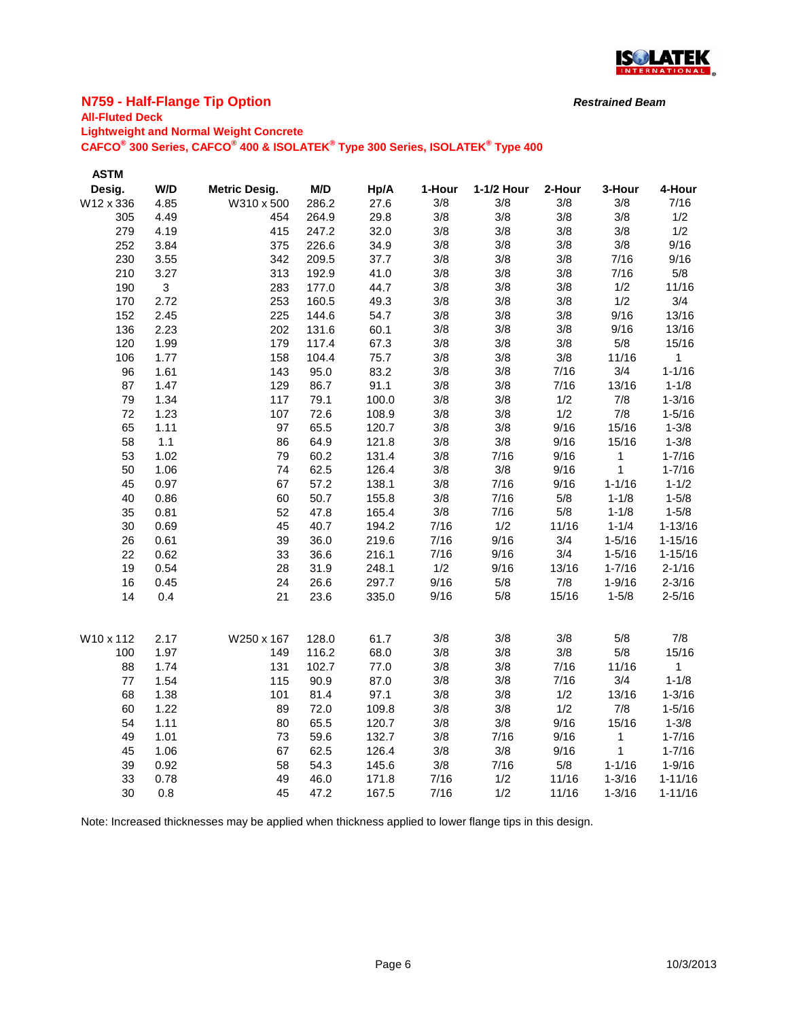

## **N759 - Half-Flange Tip Option**

## **All-Fluted Deck**

**Lightweight and Normal Weight Concrete**

**CAFCO® 300 Series, CAFCO® 400 & ISOLATEK® Type 300 Series, ISOLATEK® Type 400**

| <b>ASTM</b> |      |                      |       |       |        |            |        |              |              |
|-------------|------|----------------------|-------|-------|--------|------------|--------|--------------|--------------|
| Desig.      | W/D  | <b>Metric Desig.</b> | M/D   | Hp/A  | 1-Hour | 1-1/2 Hour | 2-Hour | 3-Hour       | 4-Hour       |
| W12 x 336   | 4.85 | W310 x 500           | 286.2 | 27.6  | 3/8    | 3/8        | 3/8    | 3/8          | 7/16         |
| 305         | 4.49 | 454                  | 264.9 | 29.8  | 3/8    | 3/8        | 3/8    | 3/8          | 1/2          |
| 279         | 4.19 | 415                  | 247.2 | 32.0  | 3/8    | 3/8        | 3/8    | 3/8          | 1/2          |
| 252         | 3.84 | 375                  | 226.6 | 34.9  | 3/8    | 3/8        | 3/8    | 3/8          | 9/16         |
| 230         | 3.55 | 342                  | 209.5 | 37.7  | 3/8    | 3/8        | 3/8    | 7/16         | 9/16         |
| 210         | 3.27 | 313                  | 192.9 | 41.0  | 3/8    | 3/8        | 3/8    | 7/16         | 5/8          |
| 190         | 3    | 283                  | 177.0 | 44.7  | 3/8    | 3/8        | 3/8    | 1/2          | 11/16        |
| 170         | 2.72 | 253                  | 160.5 | 49.3  | 3/8    | 3/8        | 3/8    | 1/2          | 3/4          |
| 152         | 2.45 | 225                  | 144.6 | 54.7  | 3/8    | 3/8        | 3/8    | 9/16         | 13/16        |
| 136         | 2.23 | 202                  | 131.6 | 60.1  | 3/8    | 3/8        | 3/8    | 9/16         | 13/16        |
| 120         | 1.99 | 179                  | 117.4 | 67.3  | 3/8    | 3/8        | 3/8    | 5/8          | 15/16        |
| 106         | 1.77 | 158                  | 104.4 | 75.7  | 3/8    | 3/8        | 3/8    | 11/16        | $\mathbf{1}$ |
| 96          | 1.61 | 143                  | 95.0  | 83.2  | 3/8    | 3/8        | 7/16   | 3/4          | $1 - 1/16$   |
| 87          | 1.47 | 129                  | 86.7  | 91.1  | 3/8    | 3/8        | 7/16   | 13/16        | $1 - 1/8$    |
| 79          | 1.34 | 117                  | 79.1  | 100.0 | 3/8    | 3/8        | 1/2    | 7/8          | $1 - 3/16$   |
| 72          | 1.23 | 107                  | 72.6  | 108.9 | 3/8    | 3/8        | 1/2    | 7/8          | $1 - 5/16$   |
| 65          | 1.11 | 97                   | 65.5  | 120.7 | 3/8    | 3/8        | 9/16   | 15/16        | $1 - 3/8$    |
| 58          | 1.1  | 86                   | 64.9  | 121.8 | 3/8    | 3/8        | 9/16   | 15/16        | $1 - 3/8$    |
| 53          | 1.02 | 79                   | 60.2  | 131.4 | 3/8    | 7/16       | 9/16   | 1            | $1 - 7/16$   |
| 50          | 1.06 | 74                   | 62.5  | 126.4 | 3/8    | 3/8        | 9/16   | 1            | $1 - 7/16$   |
| 45          | 0.97 | 67                   | 57.2  | 138.1 | 3/8    | 7/16       | 9/16   | $1 - 1/16$   | $1 - 1/2$    |
| 40          | 0.86 | 60                   | 50.7  | 155.8 | 3/8    | 7/16       | 5/8    | $1 - 1/8$    | $1 - 5/8$    |
| 35          | 0.81 | 52                   | 47.8  | 165.4 | 3/8    | 7/16       | 5/8    | $1 - 1/8$    | $1 - 5/8$    |
| 30          | 0.69 | 45                   | 40.7  | 194.2 | 7/16   | 1/2        | 11/16  | $1 - 1/4$    | $1 - 13/16$  |
| 26          | 0.61 | 39                   | 36.0  | 219.6 | 7/16   | 9/16       | 3/4    | $1 - 5/16$   | $1 - 15/16$  |
| 22          | 0.62 | 33                   | 36.6  | 216.1 | 7/16   | 9/16       | 3/4    | $1 - 5/16$   | $1 - 15/16$  |
| 19          | 0.54 | 28                   | 31.9  | 248.1 | 1/2    | 9/16       | 13/16  | $1 - 7/16$   | $2 - 1/16$   |
| 16          | 0.45 | 24                   | 26.6  | 297.7 | 9/16   | 5/8        | 7/8    | $1 - 9/16$   | $2 - 3/16$   |
| 14          | 0.4  | 21                   | 23.6  | 335.0 | 9/16   | 5/8        | 15/16  | $1 - 5/8$    | $2 - 5/16$   |
| W10 x 112   | 2.17 | W250 x 167           | 128.0 | 61.7  | 3/8    | 3/8        | 3/8    | 5/8          | 7/8          |
| 100         | 1.97 | 149                  | 116.2 | 68.0  | 3/8    | 3/8        | 3/8    | 5/8          | 15/16        |
| 88          | 1.74 | 131                  | 102.7 | 77.0  | 3/8    | 3/8        | 7/16   | 11/16        | 1            |
| 77          | 1.54 | 115                  | 90.9  | 87.0  | 3/8    | 3/8        | 7/16   | 3/4          | $1 - 1/8$    |
| 68          | 1.38 | 101                  | 81.4  | 97.1  | 3/8    | 3/8        | 1/2    | 13/16        | $1 - 3/16$   |
| 60          | 1.22 | 89                   | 72.0  | 109.8 | 3/8    | 3/8        | 1/2    | 7/8          | $1 - 5/16$   |
| 54          | 1.11 | 80                   | 65.5  | 120.7 | 3/8    | 3/8        | 9/16   | 15/16        | $1 - 3/8$    |
| 49          | 1.01 | 73                   | 59.6  | 132.7 | 3/8    | 7/16       | 9/16   | $\mathbf{1}$ | $1 - 7/16$   |
| 45          | 1.06 | 67                   | 62.5  | 126.4 | 3/8    | 3/8        | 9/16   | $\mathbf 1$  | $1 - 7/16$   |
| 39          | 0.92 | 58                   | 54.3  | 145.6 | 3/8    | 7/16       | 5/8    | $1 - 1/16$   | $1 - 9/16$   |
| 33          | 0.78 | 49                   | 46.0  | 171.8 | 7/16   | 1/2        | 11/16  | $1 - 3/16$   | $1 - 11/16$  |
| 30          | 0.8  | 45                   | 47.2  | 167.5 | 7/16   | 1/2        | 11/16  | $1 - 3/16$   | $1 - 11/16$  |